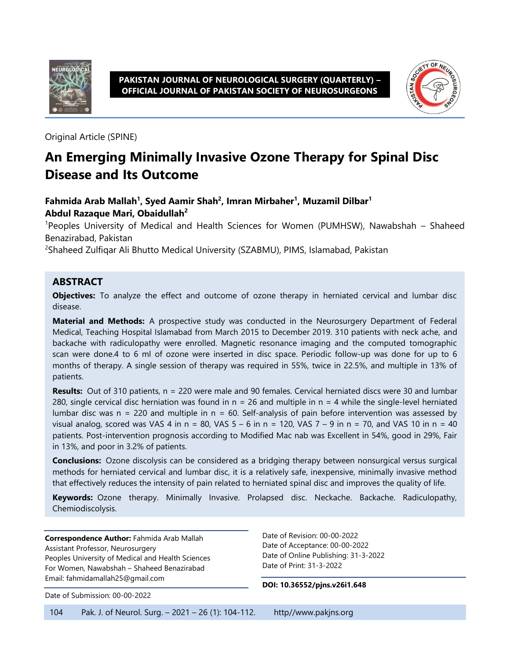



Original Article (SPINE)

# **An Emerging Minimally Invasive Ozone Therapy for Spinal Disc Disease and Its Outcome**

#### **Fahmida Arab Mallah<sup>1</sup> , Syed Aamir Shah<sup>2</sup> , Imran Mirbaher<sup>1</sup> , Muzamil Dilbar<sup>1</sup> Abdul Razaque Mari, Obaidullah<sup>2</sup>**

<sup>1</sup>Peoples University of Medical and Health Sciences for Women (PUMHSW), Nawabshah – Shaheed Benazirabad, Pakistan

<sup>2</sup>Shaheed Zulfiqar Ali Bhutto Medical University (SZABMU), PIMS, Islamabad, Pakistan

#### **ABSTRACT**

**Objectives:** To analyze the effect and outcome of ozone therapy in herniated cervical and lumbar disc disease.

**Material and Methods:** A prospective study was conducted in the Neurosurgery Department of Federal Medical, Teaching Hospital Islamabad from March 2015 to December 2019. 310 patients with neck ache, and backache with radiculopathy were enrolled. Magnetic resonance imaging and the computed tomographic scan were done.4 to 6 ml of ozone were inserted in disc space. Periodic follow-up was done for up to 6 months of therapy. A single session of therapy was required in 55%, twice in 22.5%, and multiple in 13% of patients.

**Results:** Out of 310 patients, n = 220 were male and 90 females. Cervical herniated discs were 30 and lumbar 280, single cervical disc herniation was found in  $n = 26$  and multiple in  $n = 4$  while the single-level herniated lumbar disc was  $n = 220$  and multiple in  $n = 60$ . Self-analysis of pain before intervention was assessed by visual analog, scored was VAS 4 in  $n = 80$ , VAS  $5 - 6$  in  $n = 120$ , VAS  $7 - 9$  in  $n = 70$ , and VAS 10 in  $n = 40$ patients. Post-intervention prognosis according to Modified Mac nab was Excellent in 54%, good in 29%, Fair in 13%, and poor in 3.2% of patients.

**Conclusions:** Ozone discolysis can be considered as a bridging therapy between nonsurgical versus surgical methods for herniated cervical and lumbar disc, it is a relatively safe, inexpensive, minimally invasive method that effectively reduces the intensity of pain related to herniated spinal disc and improves the quality of life.

**Keywords:** Ozone therapy. Minimally Invasive. Prolapsed disc. Neckache. Backache. Radiculopathy, Chemiodiscolysis.

**Correspondence Author:** Fahmida Arab Mallah Assistant Professor, Neurosurgery Peoples University of Medical and Health Sciences For Women, Nawabshah – Shaheed Benazirabad Email: fahmidamallah25@gmail.com

Date of Submission: 00-00-2022

Date of Revision: 00-00-2022 Date of Acceptance: 00-00-2022 Date of Online Publishing: 31-3-2022 Date of Print: 31-3-2022

**DOI: 10.36552/pjns.v26i1.648**

104 Pak. J. of Neurol. Surg. – 2021 – 26 (1): 104-112. http//www.pakjns.org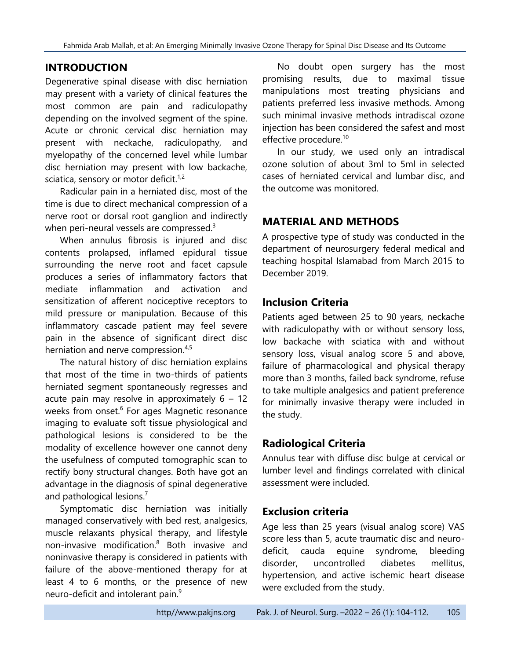# **INTRODUCTION**

Degenerative spinal disease with disc herniation may present with a variety of clinical features the most common are pain and radiculopathy depending on the involved segment of the spine. Acute or chronic cervical disc herniation may present with neckache, radiculopathy, and myelopathy of the concerned level while lumbar disc herniation may present with low backache, sciatica, sensory or motor deficit.<sup>1,2</sup>

Radicular pain in a herniated disc, most of the time is due to direct mechanical compression of a nerve root or dorsal root ganglion and indirectly when peri-neural vessels are compressed.<sup>3</sup>

When annulus fibrosis is injured and disc contents prolapsed, inflamed epidural tissue surrounding the nerve root and facet capsule produces a series of inflammatory factors that mediate inflammation and activation and sensitization of afferent nociceptive receptors to mild pressure or manipulation. Because of this inflammatory cascade patient may feel severe pain in the absence of significant direct disc herniation and nerve compression.<sup>4,5</sup>

The natural history of disc herniation explains that most of the time in two-thirds of patients herniated segment spontaneously regresses and acute pain may resolve in approximately  $6 - 12$ weeks from onset.<sup>6</sup> For ages Magnetic resonance imaging to evaluate soft tissue physiological and pathological lesions is considered to be the modality of excellence however one cannot deny the usefulness of computed tomographic scan to rectify bony structural changes. Both have got an advantage in the diagnosis of spinal degenerative and pathological lesions.<sup>7</sup>

Symptomatic disc herniation was initially managed conservatively with bed rest, analgesics, muscle relaxants physical therapy, and lifestyle non-invasive modification.<sup>8</sup> Both invasive and noninvasive therapy is considered in patients with failure of the above-mentioned therapy for at least 4 to 6 months, or the presence of new neuro-deficit and intolerant pain.<sup>9</sup>

No doubt open surgery has the most promising results, due to maximal tissue manipulations most treating physicians and patients preferred less invasive methods. Among such minimal invasive methods intradiscal ozone injection has been considered the safest and most effective procedure.<sup>10</sup>

In our study, we used only an intradiscal ozone solution of about 3ml to 5ml in selected cases of herniated cervical and lumbar disc, and the outcome was monitored.

# **MATERIAL AND METHODS**

A prospective type of study was conducted in the department of neurosurgery federal medical and teaching hospital Islamabad from March 2015 to December 2019.

### **Inclusion Criteria**

Patients aged between 25 to 90 years, neckache with radiculopathy with or without sensory loss, low backache with sciatica with and without sensory loss, visual analog score 5 and above, failure of pharmacological and physical therapy more than 3 months, failed back syndrome, refuse to take multiple analgesics and patient preference for minimally invasive therapy were included in the study.

# **Radiological Criteria**

Annulus tear with diffuse disc bulge at cervical or lumber level and findings correlated with clinical assessment were included.

# **Exclusion criteria**

Age less than 25 years (visual analog score) VAS score less than 5, acute traumatic disc and neurodeficit, cauda equine syndrome, bleeding disorder, uncontrolled diabetes mellitus, hypertension, and active ischemic heart disease were excluded from the study.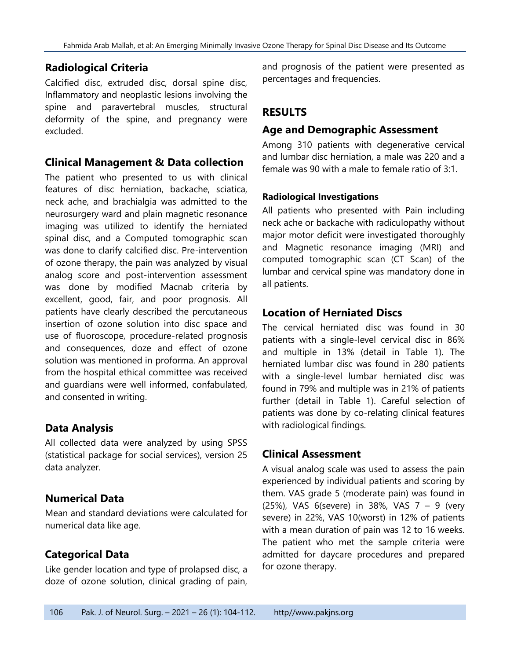### **Radiological Criteria**

Calcified disc, extruded disc, dorsal spine disc, Inflammatory and neoplastic lesions involving the spine and paravertebral muscles, structural deformity of the spine, and pregnancy were excluded.

#### **Clinical Management & Data collection**

The patient who presented to us with clinical features of disc herniation, backache, sciatica, neck ache, and brachialgia was admitted to the neurosurgery ward and plain magnetic resonance imaging was utilized to identify the herniated spinal disc, and a Computed tomographic scan was done to clarify calcified disc. Pre-intervention of ozone therapy, the pain was analyzed by visual analog score and post-intervention assessment was done by modified Macnab criteria by excellent, good, fair, and poor prognosis. All patients have clearly described the percutaneous insertion of ozone solution into disc space and use of fluoroscope, procedure-related prognosis and consequences, doze and effect of ozone solution was mentioned in proforma. An approval from the hospital ethical committee was received and guardians were well informed, confabulated, and consented in writing.

# **Data Analysis**

All collected data were analyzed by using SPSS (statistical package for social services), version 25 data analyzer.

### **Numerical Data**

Mean and standard deviations were calculated for numerical data like age.

# **Categorical Data**

Like gender location and type of prolapsed disc, a doze of ozone solution, clinical grading of pain,

and prognosis of the patient were presented as percentages and frequencies.

# **RESULTS**

### **Age and Demographic Assessment**

Among 310 patients with degenerative cervical and lumbar disc herniation, a male was 220 and a female was 90 with a male to female ratio of 3:1.

#### **Radiological Investigations**

All patients who presented with Pain including neck ache or backache with radiculopathy without major motor deficit were investigated thoroughly and Magnetic resonance imaging (MRI) and computed tomographic scan (CT Scan) of the lumbar and cervical spine was mandatory done in all patients.

### **Location of Herniated Discs**

The cervical herniated disc was found in 30 patients with a single-level cervical disc in 86% and multiple in 13% (detail in Table 1). The herniated lumbar disc was found in 280 patients with a single-level lumbar herniated disc was found in 79% and multiple was in 21% of patients further (detail in Table 1). Careful selection of patients was done by co-relating clinical features with radiological findings.

### **Clinical Assessment**

A visual analog scale was used to assess the pain experienced by individual patients and scoring by them. VAS grade 5 (moderate pain) was found in (25%), VAS 6(severe) in 38%, VAS 7 – 9 (very severe) in 22%, VAS 10(worst) in 12% of patients with a mean duration of pain was 12 to 16 weeks. The patient who met the sample criteria were admitted for daycare procedures and prepared for ozone therapy.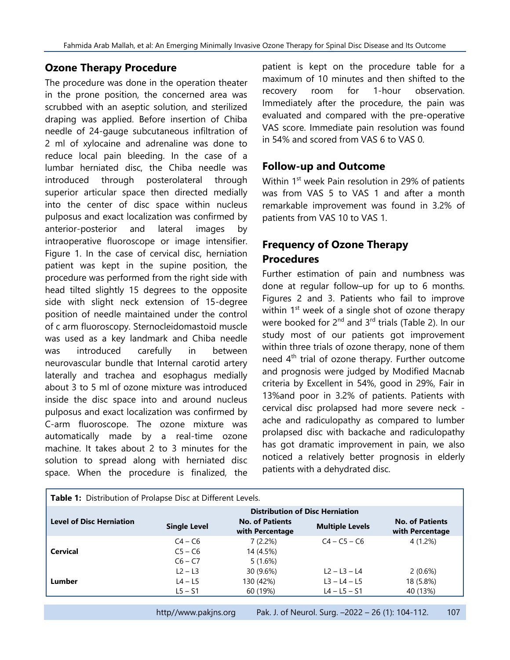### **Ozone Therapy Procedure**

The procedure was done in the operation theater in the prone position, the concerned area was scrubbed with an aseptic solution, and sterilized draping was applied. Before insertion of Chiba needle of 24-gauge subcutaneous infiltration of 2 ml of xylocaine and adrenaline was done to reduce local pain bleeding. In the case of a lumbar herniated disc, the Chiba needle was introduced through posterolateral through superior articular space then directed medially into the center of disc space within nucleus pulposus and exact localization was confirmed by anterior-posterior and lateral images by intraoperative fluoroscope or image intensifier. Figure 1. In the case of cervical disc, herniation patient was kept in the supine position, the procedure was performed from the right side with head tilted slightly 15 degrees to the opposite side with slight neck extension of 15-degree position of needle maintained under the control of c arm fluoroscopy. Sternocleidomastoid muscle was used as a key landmark and Chiba needle was introduced carefully in between neurovascular bundle that Internal carotid artery laterally and trachea and esophagus medially about 3 to 5 ml of ozone mixture was introduced inside the disc space into and around nucleus pulposus and exact localization was confirmed by C-arm fluoroscope. The ozone mixture was automatically made by a real-time ozone machine. It takes about 2 to 3 minutes for the solution to spread along with herniated disc space. When the procedure is finalized, the

patient is kept on the procedure table for a maximum of 10 minutes and then shifted to the recovery room for 1-hour observation. Immediately after the procedure, the pain was evaluated and compared with the pre-operative VAS score. Immediate pain resolution was found in 54% and scored from VAS 6 to VAS 0.

### **Follow-up and Outcome**

Within 1<sup>st</sup> week Pain resolution in 29% of patients was from VAS 5 to VAS 1 and after a month remarkable improvement was found in 3.2% of patients from VAS 10 to VAS 1.

# **Frequency of Ozone Therapy Procedures**

Further estimation of pain and numbness was done at regular follow–up for up to 6 months. Figures 2 and 3. Patients who fail to improve within  $1<sup>st</sup>$  week of a single shot of ozone therapy were booked for  $2^{nd}$  and  $3^{rd}$  trials (Table 2). In our study most of our patients got improvement within three trials of ozone therapy, none of them need  $4<sup>th</sup>$  trial of ozone therapy. Further outcome and prognosis were judged by Modified Macnab criteria by Excellent in 54%, good in 29%, Fair in 13%and poor in 3.2% of patients. Patients with cervical disc prolapsed had more severe neck ache and radiculopathy as compared to lumber prolapsed disc with backache and radiculopathy has got dramatic improvement in pain, we also noticed a relatively better prognosis in elderly patients with a dehydrated disc.

| Table 1: Distribution of Prolapse Disc at Different Levels. |                                        |                                           |                        |                                           |  |
|-------------------------------------------------------------|----------------------------------------|-------------------------------------------|------------------------|-------------------------------------------|--|
|                                                             | <b>Distribution of Disc Herniation</b> |                                           |                        |                                           |  |
| <b>Level of Disc Herniation</b>                             | <b>Single Level</b>                    | <b>No. of Patients</b><br>with Percentage | <b>Multiple Levels</b> | <b>No. of Patients</b><br>with Percentage |  |
|                                                             | $C4 - C6$                              | 7(2.2%)                                   | $C4 - C5 - C6$         | 4 (1.2%)                                  |  |
| <b>Cervical</b>                                             | $C5 - C6$                              | 14 (4.5%)                                 |                        |                                           |  |
|                                                             | $C6 - C7$                              | 5(1.6%)                                   |                        |                                           |  |
|                                                             | $L2 - L3$                              | 30 (9.6%)                                 | $L2 - L3 - L4$         | 2(0.6%)                                   |  |
| Lumber                                                      | $L4 - L5$                              | 130 (42%)                                 | $L3 - L4 - L5$         | 18 (5.8%)                                 |  |
|                                                             | $L5 - S1$                              | 60 (19%)                                  | $L4 - L5 - S1$         | 40 (13%)                                  |  |
|                                                             |                                        |                                           |                        |                                           |  |

http//www.pakjns.org Pak. J. of Neurol. Surg. -2022 - 26 (1): 104-112. 107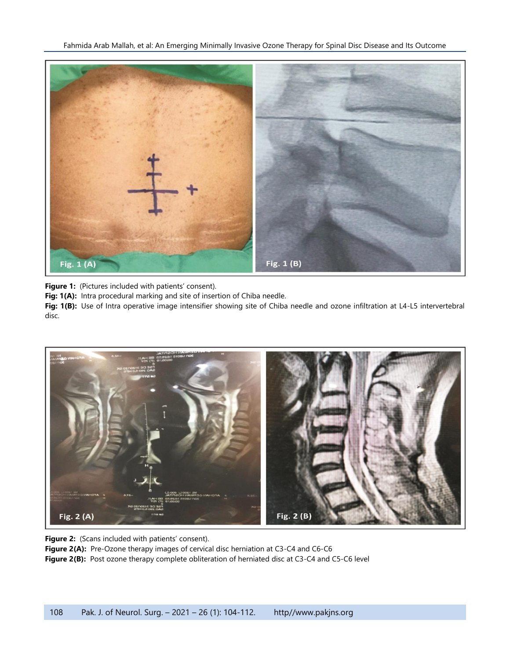

Figure 1: (Pictures included with patients' consent).

Fig: 1(A): Intra procedural marking and site of insertion of Chiba needle.

**Fig: 1(B):** Use of Intra operative image intensifier showing site of Chiba needle and ozone infiltration at L4-L5 intervertebral disc.



**Figure 2:** (Scans included with patients' consent).

Figure 2(A): Pre-Ozone therapy images of cervical disc herniation at C3-C4 and C6-C6

Figure 2(B): Post ozone therapy complete obliteration of herniated disc at C3-C4 and C5-C6 level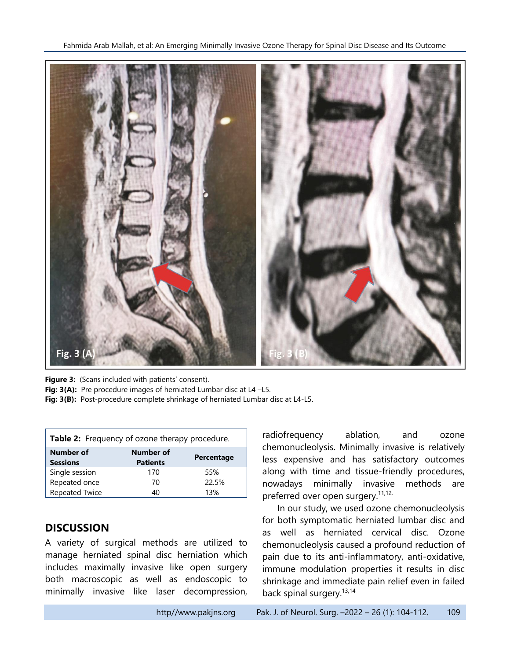

Figure 3: (Scans included with patients' consent).

Fig: 3(A): Pre procedure images of herniated Lumbar disc at L4-L5.

**Fig: 3(B):** Post-procedure complete shrinkage of herniated Lumbar disc at L4-L5.

| Table 2: Frequency of ozone therapy procedure. |                              |            |  |  |  |
|------------------------------------------------|------------------------------|------------|--|--|--|
| Number of<br><b>Sessions</b>                   | Number of<br><b>Patients</b> | Percentage |  |  |  |
| Single session                                 | 170                          | 55%        |  |  |  |
| Repeated once                                  | 70                           | 22.5%      |  |  |  |
| <b>Repeated Twice</b>                          | 40                           | 13%        |  |  |  |

# **DISCUSSION**

A variety of surgical methods are utilized to manage herniated spinal disc herniation which includes maximally invasive like open surgery both macroscopic as well as endoscopic to minimally invasive like laser decompression, radiofrequency ablation, and ozone chemonucleolysis. Minimally invasive is relatively less expensive and has satisfactory outcomes along with time and tissue-friendly procedures, nowadays minimally invasive methods are preferred over open surgery.<sup>11,12.</sup>

In our study, we used ozone chemonucleolysis for both symptomatic herniated lumbar disc and as well as herniated cervical disc. Ozone chemonucleolysis caused a profound reduction of pain due to its anti-inflammatory, anti-oxidative, immune modulation properties it results in disc shrinkage and immediate pain relief even in failed back spinal surgery.<sup>13,14</sup>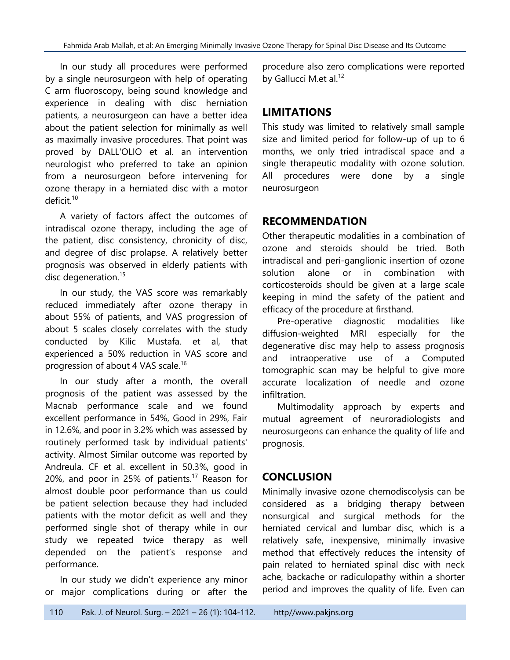In our study all procedures were performed by a single neurosurgeon with help of operating C arm fluoroscopy, being sound knowledge and experience in dealing with disc herniation patients, a neurosurgeon can have a better idea about the patient selection for minimally as well as maximally invasive procedures. That point was proved by DALL'OLIO et al. an intervention neurologist who preferred to take an opinion from a neurosurgeon before intervening for ozone therapy in a herniated disc with a motor deficit. 10

A variety of factors affect the outcomes of intradiscal ozone therapy, including the age of the patient, disc consistency, chronicity of disc, and degree of disc prolapse. A relatively better prognosis was observed in elderly patients with disc degeneration.<sup>15</sup>

In our study, the VAS score was remarkably reduced immediately after ozone therapy in about 55% of patients, and VAS progression of about 5 scales closely correlates with the study conducted by Kilic Mustafa. et al, that experienced a 50% reduction in VAS score and progression of about 4 VAS scale.<sup>16</sup>

In our study after a month, the overall prognosis of the patient was assessed by the Macnab performance scale and we found excellent performance in 54%, Good in 29%, Fair in 12.6%, and poor in 3.2% which was assessed by routinely performed task by individual patients' activity. Almost Similar outcome was reported by Andreula. CF et al. excellent in 50.3%, good in 20%, and poor in 25% of patients.<sup>17</sup> Reason for almost double poor performance than us could be patient selection because they had included patients with the motor deficit as well and they performed single shot of therapy while in our study we repeated twice therapy as well depended on the patient's response and performance.

In our study we didn't experience any minor or major complications during or after the

procedure also zero complications were reported by Gallucci M.et al.<sup>12</sup>

# **LIMITATIONS**

This study was limited to relatively small sample size and limited period for follow-up of up to 6 months, we only tried intradiscal space and a single therapeutic modality with ozone solution. All procedures were done by a single neurosurgeon

# **RECOMMENDATION**

Other therapeutic modalities in a combination of ozone and steroids should be tried. Both intradiscal and peri-ganglionic insertion of ozone solution alone or in combination with corticosteroids should be given at a large scale keeping in mind the safety of the patient and efficacy of the procedure at firsthand.

Pre-operative diagnostic modalities like diffusion-weighted MRI especially for the degenerative disc may help to assess prognosis and intraoperative use of a Computed tomographic scan may be helpful to give more accurate localization of needle and ozone infiltration.

Multimodality approach by experts and mutual agreement of neuroradiologists and neurosurgeons can enhance the quality of life and prognosis.

# **CONCLUSION**

Minimally invasive ozone chemodiscolysis can be considered as a bridging therapy between nonsurgical and surgical methods for the herniated cervical and lumbar disc, which is a relatively safe, inexpensive, minimally invasive method that effectively reduces the intensity of pain related to herniated spinal disc with neck ache, backache or radiculopathy within a shorter period and improves the quality of life. Even can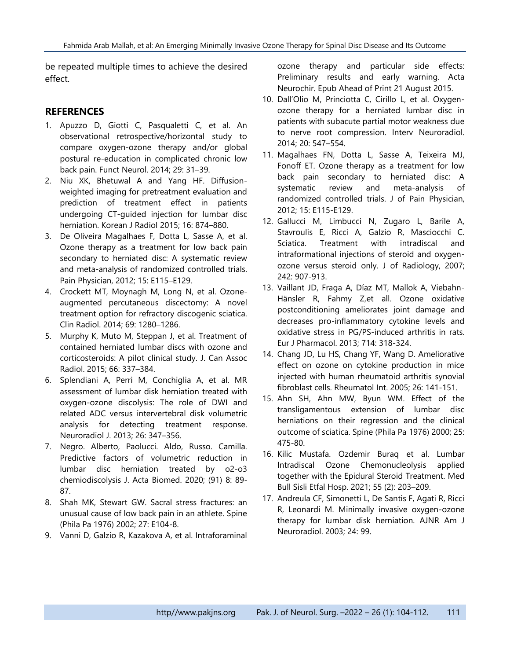be repeated multiple times to achieve the desired effect.

#### **REFERENCES**

- 1. Apuzzo D, Giotti C, Pasqualetti C, et al. An observational retrospective/horizontal study to compare oxygen-ozone therapy and/or global postural re-education in complicated chronic low back pain. Funct Neurol. 2014; 29: 31–39.
- 2. Niu XK, Bhetuwal A and Yang HF. Diffusionweighted imaging for pretreatment evaluation and prediction of treatment effect in patients undergoing CT-guided injection for lumbar disc herniation. Korean J Radiol 2015; 16: 874–880.
- 3. De Oliveira Magalhaes F, Dotta L, Sasse A, et al. Ozone therapy as a treatment for low back pain secondary to herniated disc: A systematic review and meta-analysis of randomized controlled trials. Pain Physician, 2012; 15: E115–E129.
- 4. Crockett MT, Moynagh M, Long N, et al. Ozoneaugmented percutaneous discectomy: A novel treatment option for refractory discogenic sciatica. Clin Radiol. 2014; 69: 1280–1286.
- 5. Murphy K, Muto M, Steppan J, et al. Treatment of contained herniated lumbar discs with ozone and corticosteroids: A pilot clinical study. J. Can Assoc Radiol. 2015; 66: 337–384.
- 6. Splendiani A, Perri M, Conchiglia A, et al. MR assessment of lumbar disk herniation treated with oxygen-ozone discolysis: The role of DWI and related ADC versus intervertebral disk volumetric analysis for detecting treatment response. Neuroradiol J. 2013; 26: 347–356.
- 7. Negro. Alberto, Paolucci. Aldo, Russo. Camilla. Predictive factors of volumetric reduction in lumbar disc herniation treated by o2-o3 chemiodiscolysis J. Acta Biomed. 2020; (91) 8: 89- 87.
- 8. Shah MK, Stewart GW. Sacral stress fractures: an unusual cause of low back pain in an athlete. Spine (Phila Pa 1976) 2002; 27: E104-8.
- 9. Vanni D, Galzio R, Kazakova A, et al. Intraforaminal

ozone therapy and particular side effects: Preliminary results and early warning. Acta Neurochir. Epub Ahead of Print 21 August 2015.

- 10. Dall'Olio M, Princiotta C, Cirillo L, et al. Oxygenozone therapy for a herniated lumbar disc in patients with subacute partial motor weakness due to nerve root compression. Interv Neuroradiol. 2014; 20: 547–554.
- 11. Magalhaes FN, Dotta L, Sasse A, Teixeira MJ, Fonoff ET. Ozone therapy as a treatment for low back pain secondary to herniated disc: A systematic review and meta-analysis of randomized controlled trials. J of Pain Physician, 2012; 15: E115-E129.
- 12. Gallucci M, Limbucci N, Zugaro L, Barile A, Stavroulis E, Ricci A, Galzio R, Masciocchi C. Sciatica. Treatment with intradiscal and intraformational injections of steroid and oxygenozone versus steroid only. J of Radiology, 2007; 242: 907-913.
- 13. Vaillant JD, Fraga A, Díaz MT, Mallok A, Viebahn-Hänsler R, Fahmy Z,et all. Ozone oxidative postconditioning ameliorates joint damage and decreases pro-inflammatory cytokine levels and oxidative stress in PG/PS-induced arthritis in rats. Eur J Pharmacol. 2013; 714: 318-324.
- 14. Chang JD, Lu HS, Chang YF, Wang D. Ameliorative effect on ozone on cytokine production in mice injected with human rheumatoid arthritis synovial fibroblast cells. Rheumatol Int. 2005; 26: 141-151.
- 15. Ahn SH, Ahn MW, Byun WM. Effect of the transligamentous extension of lumbar disc herniations on their regression and the clinical outcome of sciatica. Spine (Phila Pa 1976) 2000; 25: 475-80.
- 16. Kilic Mustafa. Ozdemir Buraq et al. Lumbar Intradiscal Ozone Chemonucleolysis applied together with the Epidural Steroid Treatment. Med Bull Sisli Etfal Hosp. 2021; 55 (2): 203–209.
- 17. Andreula CF, Simonetti L, De Santis F, Agati R, Ricci R, Leonardi M. Minimally invasive oxygen-ozone therapy for lumbar disk herniation. AJNR Am J Neuroradiol. 2003; 24: 99.